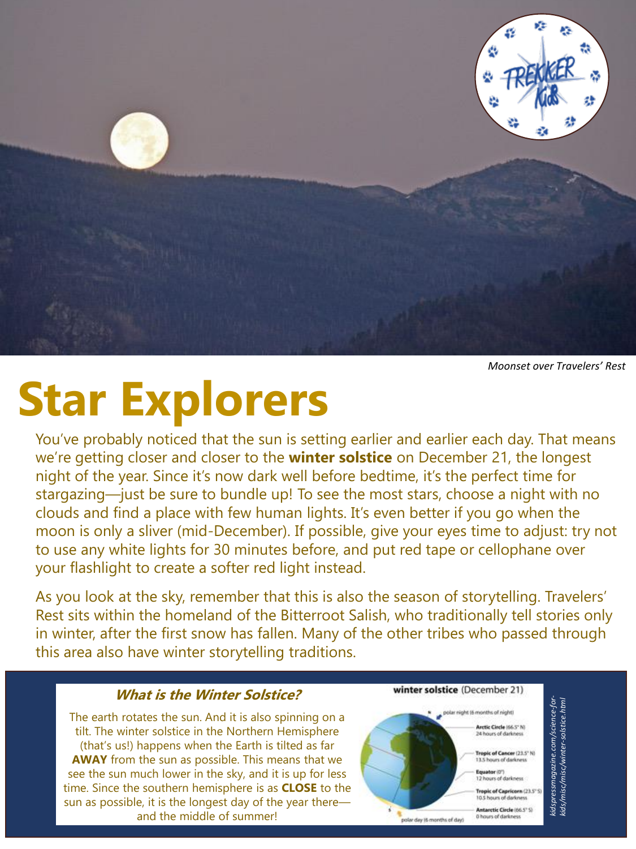

*Moonset over Travelers' Rest*

# **Star Explorers**

You've probably noticed that the sun is setting earlier and earlier each day. That means we're getting closer and closer to the **winter solstice** on December 21, the longest night of the year. Since it's now dark well before bedtime, it's the perfect time for stargazing—just be sure to bundle up! To see the most stars, choose a night with no clouds and find a place with few human lights. It's even better if you go when the moon is only a sliver (mid-December). If possible, give your eyes time to adjust: try not to use any white lights for 30 minutes before, and put red tape or cellophane over your flashlight to create a softer red light instead.

As you look at the sky, remember that this is also the season of storytelling. Travelers' Rest sits within the homeland of the Bitterroot Salish, who traditionally tell stories only in winter, after the first snow has fallen. Many of the other tribes who passed through this area also have winter storytelling traditions.

#### **What is the Winter Solstice?**

The earth rotates the sun. And it is also spinning on a tilt. The winter solstice in the Northern Hemisphere (that's us!) happens when the Earth is tilted as far **AWAY** from the sun as possible. This means that we see the sun much lower in the sky, and it is up for less time. Since the southern hemisphere is as **CLOSE** to the sun as possible, it is the longest day of the year there and the middle of summer!

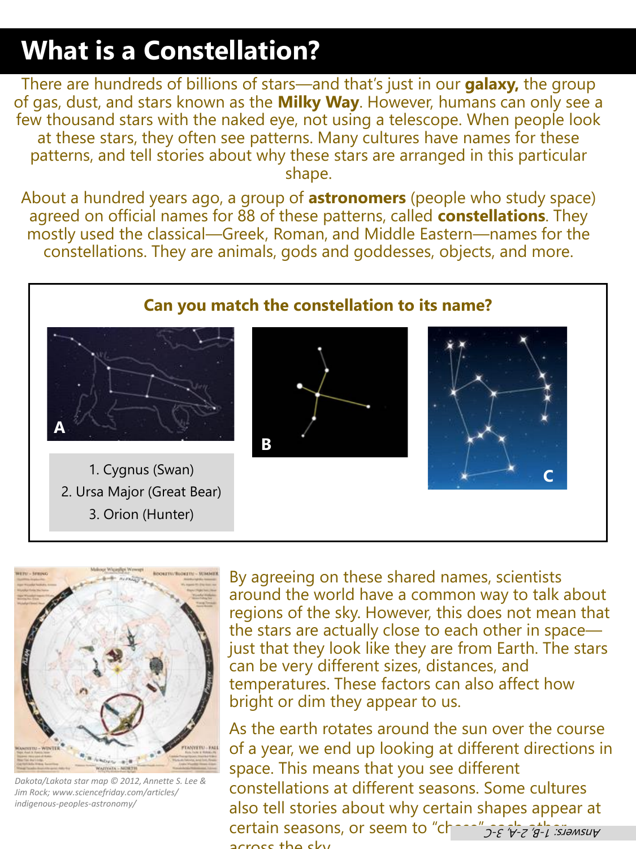#### **What is a Constellation?**

There are hundreds of billions of stars—and that's just in our **galaxy,** the group of gas, dust, and stars known as the **Milky Way**. However, humans can only see a few thousand stars with the naked eye, not using a telescope. When people look at these stars, they often see patterns. Many cultures have names for these patterns, and tell stories about why these stars are arranged in this particular shape.

About a hundred years ago, a group of **astronomers** (people who study space) agreed on official names for 88 of these patterns, called **constellations**. They mostly used the classical—Greek, Roman, and Middle Eastern—names for the constellations. They are animals, gods and goddesses, objects, and more.

#### **Can you match the constellation to its name?**



1. Cygnus (Swan) 2. Ursa Major (Great Bear) 3. Orion (Hunter)







*Dakota/Lakota star map © 2012, Annette S. Lee & Jim Rock; www.sciencefriday.com/articles/ indigenous-peoples-astronomy/*

By agreeing on these shared names, scientists around the world have a common way to talk about regions of the sky. However, this does not mean that the stars are actually close to each other in space just that they look like they are from Earth. The stars can be very different sizes, distances, and temperatures. These factors can also affect how bright or dim they appear to us.

As the earth rotates around the sun over the course of a year, we end up looking at different directions in space. This means that you see different constellations at different seasons. Some cultures also tell stories about why certain shapes appear at certain seasons, or seem to "charal"  $2\epsilon$   $\gamma$ -z 'g-1 : Slamsuy across the sky.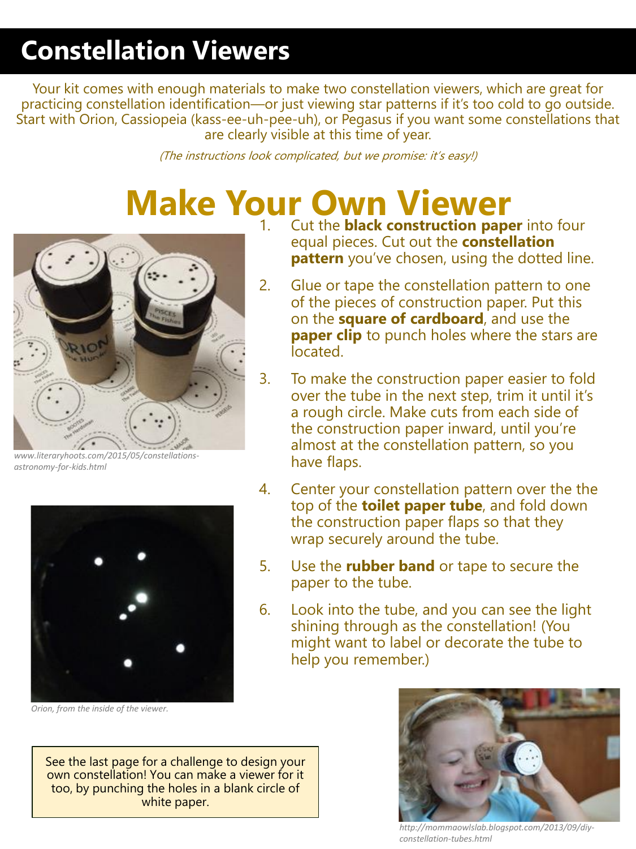### **Constellation Viewers**

Your kit comes with enough materials to make two constellation viewers, which are great for practicing constellation identification—or just viewing star patterns if it's too cold to go outside. Start with Orion, Cassiopeia (kass-ee-uh-pee-uh), or Pegasus if you want some constellations that are clearly visible at this time of year.

(The instructions look complicated, but we promise: it's easy!)

# **Make Your Own Viewer**



*www.literaryhoots.com/2015/05/constellationsastronomy-for-kids.html*



*Orion, from the inside of the viewer.*

- 1. Cut the **black construction paper** into four equal pieces. Cut out the **constellation pattern** you've chosen, using the dotted line.
- 2. Glue or tape the constellation pattern to one of the pieces of construction paper. Put this on the **square of cardboard**, and use the **paper clip** to punch holes where the stars are located.
- 3. To make the construction paper easier to fold over the tube in the next step, trim it until it's a rough circle. Make cuts from each side of the construction paper inward, until you're almost at the constellation pattern, so you have flaps.
- 4. Center your constellation pattern over the the top of the **toilet paper tube**, and fold down the construction paper flaps so that they wrap securely around the tube.
- 5. Use the **rubber band** or tape to secure the paper to the tube.
- 6. Look into the tube, and you can see the light shining through as the constellation! (You might want to label or decorate the tube to help you remember.)

See the last page for a challenge to design your own constellation! You can make a viewer for it too, by punching the holes in a blank circle of white paper.



*http://mommaowlslab.blogspot.com/2013/09/diyconstellation-tubes.html*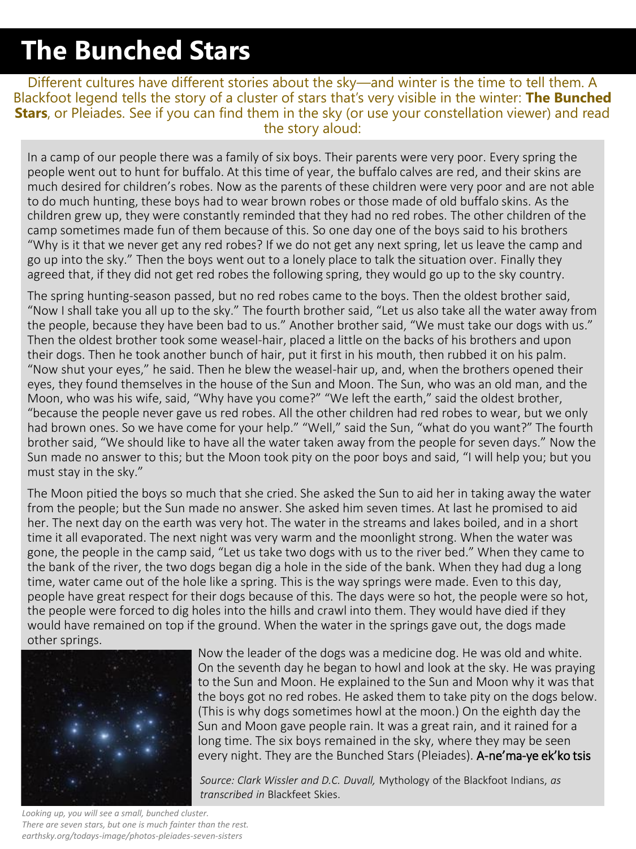#### **The Bunched Stars**

Different cultures have different stories about the sky—and winter is the time to tell them. A Blackfoot legend tells the story of a cluster of stars that's very visible in the winter: **The Bunched**  Stars, or Pleiades. See if you can find them in the sky (or use your constellation viewer) and read the story aloud:

In a camp of our people there was a family of six boys. Their parents were very poor. Every spring the people went out to hunt for buffalo. At this time of year, the buffalo calves are red, and their skins are much desired for children's robes. Now as the parents of these children were very poor and are not able to do much hunting, these boys had to wear brown robes or those made of old buffalo skins. As the children grew up, they were constantly reminded that they had no red robes. The other children of the camp sometimes made fun of them because of this. So one day one of the boys said to his brothers "Why is it that we never get any red robes? If we do not get any next spring, let us leave the camp and go up into the sky." Then the boys went out to a lonely place to talk the situation over. Finally they agreed that, if they did not get red robes the following spring, they would go up to the sky country.

The spring hunting-season passed, but no red robes came to the boys. Then the oldest brother said, "Now I shall take you all up to the sky." The fourth brother said, "Let us also take all the water away from the people, because they have been bad to us." Another brother said, "We must take our dogs with us." Then the oldest brother took some weasel-hair, placed a little on the backs of his brothers and upon their dogs. Then he took another bunch of hair, put it first in his mouth, then rubbed it on his palm. "Now shut your eyes," he said. Then he blew the weasel-hair up, and, when the brothers opened their eyes, they found themselves in the house of the Sun and Moon. The Sun, who was an old man, and the Moon, who was his wife, said, "Why have you come?" "We left the earth," said the oldest brother, "because the people never gave us red robes. All the other children had red robes to wear, but we only had brown ones. So we have come for your help." "Well," said the Sun, "what do you want?" The fourth brother said, "We should like to have all the water taken away from the people for seven days." Now the Sun made no answer to this; but the Moon took pity on the poor boys and said, "I will help you; but you must stay in the sky."

*https://www.scienceworld.ca/res* would have remained on top if the ground. When the water in the springs gave out, the dogs made<br>exhave writing The Moon pitied the boys so much that she cried. She asked the Sun to aid her in taking away the water from the people; but the Sun made no answer. She asked him seven times. At last he promised to aid her. The next day on the earth was very hot. The water in the streams and lakes boiled, and in a short time it all evaporated. The next night was very warm and the moonlight strong. When the water was gone, the people in the camp said, "Let us take two dogs with us to the river bed." When they came to the bank of the river, the two dogs began dig a hole in the side of the bank. When they had dug a long time, water came out of the hole like a spring. This is the way springs were made. Even to this day, people have great respect for their dogs because of this. The days were so hot, the people were so hot, the people were forced to dig holes into the hills and crawl into them. They would have died if they other springs.



Now the leader of the dogs was a medicine dog. He was old and white. On the seventh day he began to howl and look at the sky. He was praying to the Sun and Moon. He explained to the Sun and Moon why it was that the boys got no red robes. He asked them to take pity on the dogs below. (This is why dogs sometimes howl at the moon.) On the eighth day the Sun and Moon gave people rain. It was a great rain, and it rained for a long time. The six boys remained in the sky, where they may be seen every night. They are the Bunched Stars (Pleiades). A-ne'ma-ye ek'ko tsis

*Source: Clark Wissler and D.C. Duvall,* Mythology of the Blackfoot Indians, *as transcribed in* Blackfeet Skies.

*Looking up, you will see a small, bunched cluster. There are seven stars, but one is much fainter than the rest. earthsky.org/todays-image/photos-pleiades-seven-sisters*